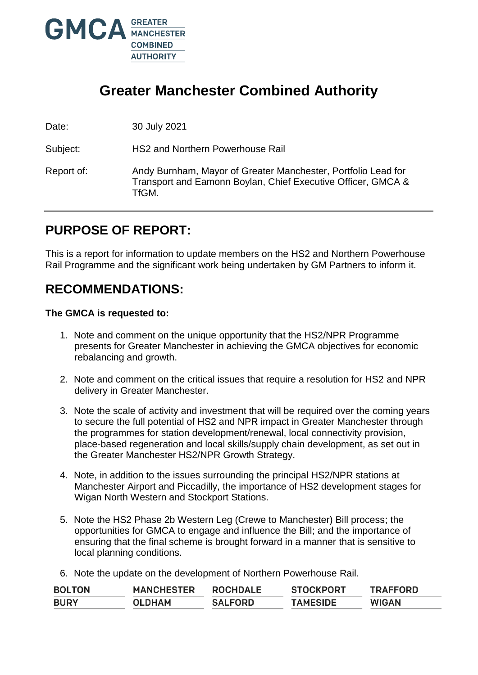

# **Greater Manchester Combined Authority**

Date: 30 July 2021

Subject: HS2 and Northern Powerhouse Rail

Report of: Andy Burnham, Mayor of Greater Manchester, Portfolio Lead for Transport and Eamonn Boylan, Chief Executive Officer, GMCA & TfGM.

# **PURPOSE OF REPORT:**

This is a report for information to update members on the HS2 and Northern Powerhouse Rail Programme and the significant work being undertaken by GM Partners to inform it.

# **RECOMMENDATIONS:**

### **The GMCA is requested to:**

- 1. Note and comment on the unique opportunity that the HS2/NPR Programme presents for Greater Manchester in achieving the GMCA objectives for economic rebalancing and growth.
- 2. Note and comment on the critical issues that require a resolution for HS2 and NPR delivery in Greater Manchester.
- 3. Note the scale of activity and investment that will be required over the coming years to secure the full potential of HS2 and NPR impact in Greater Manchester through the programmes for station development/renewal, local connectivity provision, place-based regeneration and local skills/supply chain development, as set out in the Greater Manchester HS2/NPR Growth Strategy.
- 4. Note, in addition to the issues surrounding the principal HS2/NPR stations at Manchester Airport and Piccadilly, the importance of HS2 development stages for Wigan North Western and Stockport Stations.
- 5. Note the HS2 Phase 2b Western Leg (Crewe to Manchester) Bill process; the opportunities for GMCA to engage and influence the Bill; and the importance of ensuring that the final scheme is brought forward in a manner that is sensitive to local planning conditions.
- 6. Note the update on the development of Northern Powerhouse Rail.

| <b>BOLTON</b> | <b>MANCHESTER</b> | <b>ROCHDALE</b> | <b>STOCKPORT</b> | <b>TRAFFORD</b> |
|---------------|-------------------|-----------------|------------------|-----------------|
| <b>BURY</b>   | <b>OLDHAM</b>     | <b>SALFORD</b>  | <b>TAMESIDE</b>  | <b>WIGAN</b>    |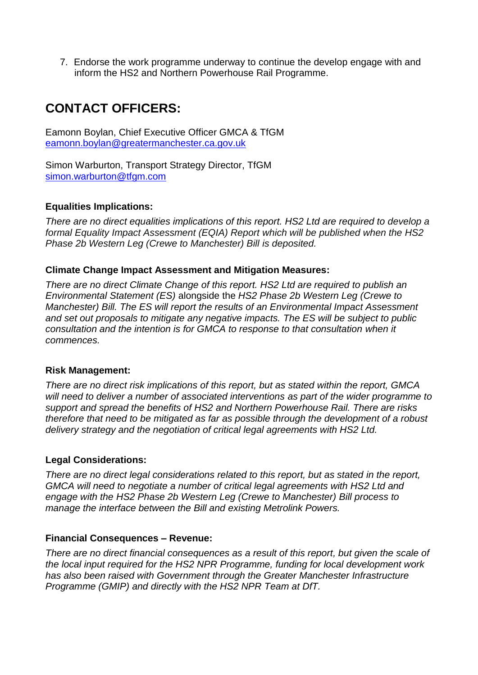7. Endorse the work programme underway to continue the develop engage with and inform the HS2 and Northern Powerhouse Rail Programme.

# **CONTACT OFFICERS:**

Eamonn Boylan, Chief Executive Officer GMCA & TfGM [eamonn.boylan@greatermanchester.ca.gov.uk](mailto:eamonn.boylan@greatermanchester.ca.gov.uk)

Simon Warburton, Transport Strategy Director, TfGM [simon.warburton@tfgm.com](mailto:simon.warburton@tfgm.com)

## **Equalities Implications:**

*There are no direct equalities implications of this report. HS2 Ltd are required to develop a formal Equality Impact Assessment (EQIA) Report which will be published when the HS2 Phase 2b Western Leg (Crewe to Manchester) Bill is deposited.*

## **Climate Change Impact Assessment and Mitigation Measures:**

*There are no direct Climate Change of this report. HS2 Ltd are required to publish an Environmental Statement (ES)* alongside the *HS2 Phase 2b Western Leg (Crewe to Manchester) Bill. The ES will report the results of an Environmental Impact Assessment and set out proposals to mitigate any negative impacts. The ES will be subject to public consultation and the intention is for GMCA to response to that consultation when it commences.*

### **Risk Management:**

*There are no direct risk implications of this report, but as stated within the report, GMCA will need to deliver a number of associated interventions as part of the wider programme to support and spread the benefits of HS2 and Northern Powerhouse Rail. There are risks therefore that need to be mitigated as far as possible through the development of a robust delivery strategy and the negotiation of critical legal agreements with HS2 Ltd.*

### **Legal Considerations:**

*There are no direct legal considerations related to this report, but as stated in the report, GMCA will need to negotiate a number of critical legal agreements with HS2 Ltd and engage with the HS2 Phase 2b Western Leg (Crewe to Manchester) Bill process to manage the interface between the Bill and existing Metrolink Powers.*

### **Financial Consequences – Revenue:**

*There are no direct financial consequences as a result of this report, but given the scale of the local input required for the HS2 NPR Programme, funding for local development work has also been raised with Government through the Greater Manchester Infrastructure Programme (GMIP) and directly with the HS2 NPR Team at DfT.*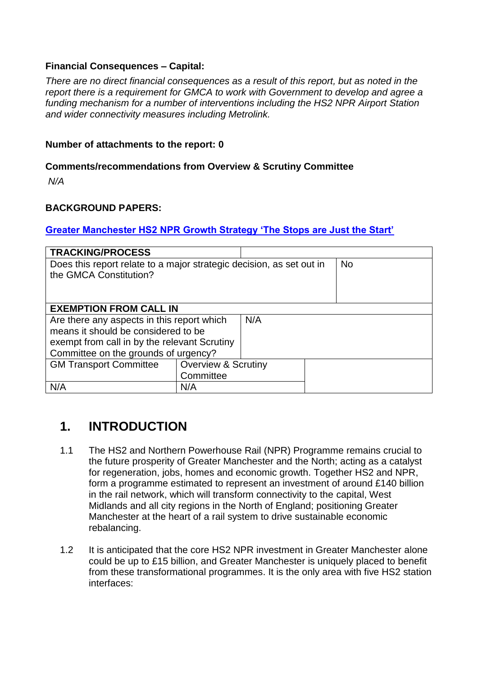## **Financial Consequences – Capital:**

*There are no direct financial consequences as a result of this report, but as noted in the report there is a requirement for GMCA to work with Government to develop and agree a funding mechanism for a number of interventions including the HS2 NPR Airport Station and wider connectivity measures including Metrolink.* 

### **Number of attachments to the report: 0**

### **Comments/recommendations from Overview & Scrutiny Committee**

*N/A*

### **BACKGROUND PAPERS:**

### **[Greater Manchester HS2 NPR Growth Strategy 'The Stops are Just the Start'](https://assets.ctfassets.net/nv7y93idf4jq/4sSHKQVxGMQuM488IMsWqG/cdc77581d9f6ce8d407b07976a2417e0/17-1060_HS2_Growth_Strategy.pdf)**

| <b>TRACKING/PROCESS</b>                                              |                                |  |  |  |  |
|----------------------------------------------------------------------|--------------------------------|--|--|--|--|
| Does this report relate to a major strategic decision, as set out in | <b>No</b>                      |  |  |  |  |
| the GMCA Constitution?                                               |                                |  |  |  |  |
|                                                                      |                                |  |  |  |  |
|                                                                      |                                |  |  |  |  |
| <b>EXEMPTION FROM CALL IN</b>                                        |                                |  |  |  |  |
| Are there any aspects in this report which                           | N/A                            |  |  |  |  |
| means it should be considered to be                                  |                                |  |  |  |  |
| exempt from call in by the relevant Scrutiny                         |                                |  |  |  |  |
| Committee on the grounds of urgency?                                 |                                |  |  |  |  |
| <b>GM Transport Committee</b>                                        | <b>Overview &amp; Scrutiny</b> |  |  |  |  |
|                                                                      | Committee                      |  |  |  |  |
| N/A                                                                  | N/A                            |  |  |  |  |

## **1. INTRODUCTION**

- 1.1 The HS2 and Northern Powerhouse Rail (NPR) Programme remains crucial to the future prosperity of Greater Manchester and the North; acting as a catalyst for regeneration, jobs, homes and economic growth. Together HS2 and NPR, form a programme estimated to represent an investment of around £140 billion in the rail network, which will transform connectivity to the capital, West Midlands and all city regions in the North of England; positioning Greater Manchester at the heart of a rail system to drive sustainable economic rebalancing.
- 1.2 It is anticipated that the core HS2 NPR investment in Greater Manchester alone could be up to £15 billion, and Greater Manchester is uniquely placed to benefit from these transformational programmes. It is the only area with five HS2 station interfaces: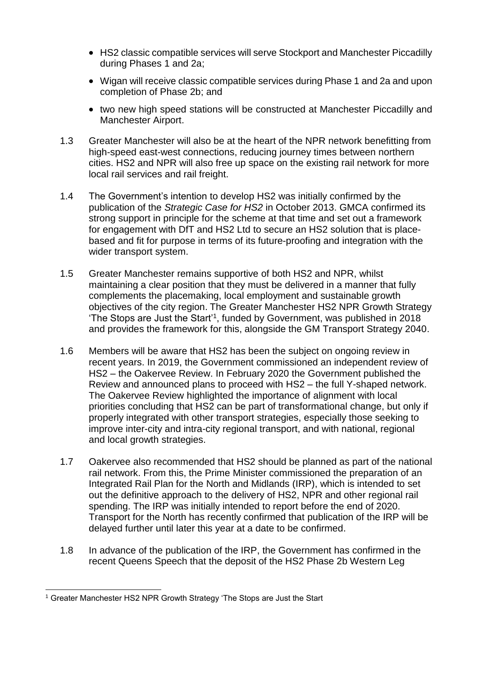- HS2 classic compatible services will serve Stockport and Manchester Piccadilly during Phases 1 and 2a;
- Wigan will receive classic compatible services during Phase 1 and 2a and upon completion of Phase 2b; and
- two new high speed stations will be constructed at Manchester Piccadilly and Manchester Airport.
- 1.3 Greater Manchester will also be at the heart of the NPR network benefitting from high-speed east-west connections, reducing journey times between northern cities. HS2 and NPR will also free up space on the existing rail network for more local rail services and rail freight.
- 1.4 The Government's intention to develop HS2 was initially confirmed by the publication of the *Strategic Case for HS2* in October 2013. GMCA confirmed its strong support in principle for the scheme at that time and set out a framework for engagement with DfT and HS2 Ltd to secure an HS2 solution that is placebased and fit for purpose in terms of its future-proofing and integration with the wider transport system.
- 1.5 Greater Manchester remains supportive of both HS2 and NPR, whilst maintaining a clear position that they must be delivered in a manner that fully complements the placemaking, local employment and sustainable growth objectives of the city region. The Greater Manchester HS2 NPR Growth Strategy 'The Stops are Just the Start'<sup>1</sup>, funded by Government, was published in 2018 and provides the framework for this, alongside the GM Transport Strategy 2040.
- 1.6 Members will be aware that HS2 has been the subject on ongoing review in recent years. In 2019, the Government commissioned an independent review of HS2 – the Oakervee Review. In February 2020 the Government published the Review and announced plans to proceed with HS2 – the full Y-shaped network. The Oakervee Review highlighted the importance of alignment with local priorities concluding that HS2 can be part of transformational change, but only if properly integrated with other transport strategies, especially those seeking to improve inter-city and intra-city regional transport, and with national, regional and local growth strategies.
- 1.7 Oakervee also recommended that HS2 should be planned as part of the national rail network. From this, the Prime Minister commissioned the preparation of an Integrated Rail Plan for the North and Midlands (IRP), which is intended to set out the definitive approach to the delivery of HS2, NPR and other regional rail spending. The IRP was initially intended to report before the end of 2020. Transport for the North has recently confirmed that publication of the IRP will be delayed further until later this year at a date to be confirmed.
- 1.8 In advance of the publication of the IRP, the Government has confirmed in the recent Queens Speech that the deposit of the HS2 Phase 2b Western Leg

-

<sup>1</sup> Greater Manchester HS2 NPR Growth Strategy 'The Stops are Just the Start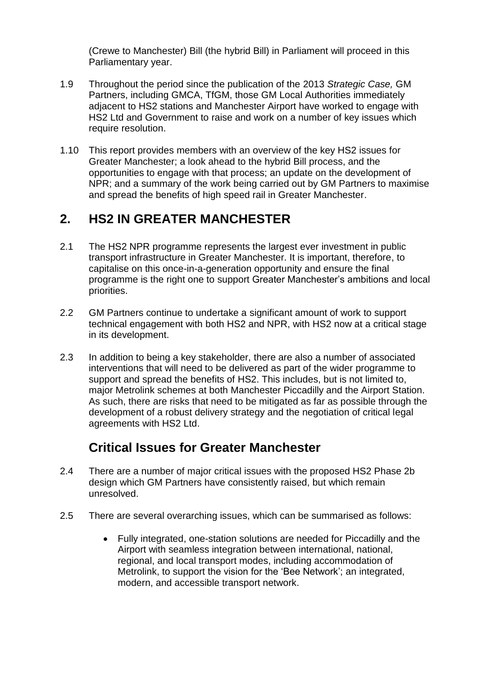(Crewe to Manchester) Bill (the hybrid Bill) in Parliament will proceed in this Parliamentary year.

- 1.9 Throughout the period since the publication of the 2013 *Strategic Case,* GM Partners, including GMCA, TfGM, those GM Local Authorities immediately adjacent to HS2 stations and Manchester Airport have worked to engage with HS2 Ltd and Government to raise and work on a number of key issues which require resolution.
- 1.10 This report provides members with an overview of the key HS2 issues for Greater Manchester; a look ahead to the hybrid Bill process, and the opportunities to engage with that process; an update on the development of NPR; and a summary of the work being carried out by GM Partners to maximise and spread the benefits of high speed rail in Greater Manchester.

# **2. HS2 IN GREATER MANCHESTER**

- 2.1 The HS2 NPR programme represents the largest ever investment in public transport infrastructure in Greater Manchester. It is important, therefore, to capitalise on this once-in-a-generation opportunity and ensure the final programme is the right one to support Greater Manchester's ambitions and local priorities.
- 2.2 GM Partners continue to undertake a significant amount of work to support technical engagement with both HS2 and NPR, with HS2 now at a critical stage in its development.
- 2.3 In addition to being a key stakeholder, there are also a number of associated interventions that will need to be delivered as part of the wider programme to support and spread the benefits of HS2. This includes, but is not limited to, major Metrolink schemes at both Manchester Piccadilly and the Airport Station. As such, there are risks that need to be mitigated as far as possible through the development of a robust delivery strategy and the negotiation of critical legal agreements with HS2 Ltd.

# **Critical Issues for Greater Manchester**

- 2.4 There are a number of major critical issues with the proposed HS2 Phase 2b design which GM Partners have consistently raised, but which remain unresolved.
- 2.5 There are several overarching issues, which can be summarised as follows:
	- Fully integrated, one-station solutions are needed for Piccadilly and the Airport with seamless integration between international, national, regional, and local transport modes, including accommodation of Metrolink, to support the vision for the 'Bee Network'; an integrated, modern, and accessible transport network.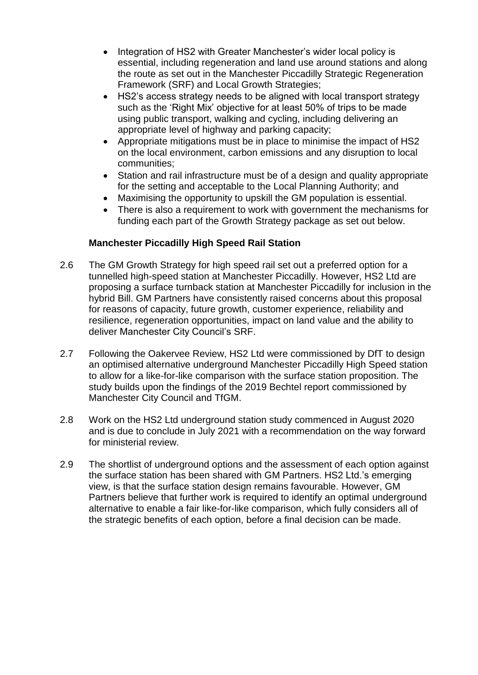- Integration of HS2 with Greater Manchester's wider local policy is essential, including regeneration and land use around stations and along the route as set out in the Manchester Piccadilly Strategic Regeneration Framework (SRF) and Local Growth Strategies;
- HS2's access strategy needs to be aligned with local transport strategy such as the 'Right Mix' objective for at least 50% of trips to be made using public transport, walking and cycling, including delivering an appropriate level of highway and parking capacity;
- Appropriate mitigations must be in place to minimise the impact of HS2 on the local environment, carbon emissions and any disruption to local communities;
- Station and rail infrastructure must be of a design and quality appropriate for the setting and acceptable to the Local Planning Authority; and
- Maximising the opportunity to upskill the GM population is essential.
- There is also a requirement to work with government the mechanisms for funding each part of the Growth Strategy package as set out below.

## **Manchester Piccadilly High Speed Rail Station**

- 2.6 The GM Growth Strategy for high speed rail set out a preferred option for a tunnelled high-speed station at Manchester Piccadilly. However, HS2 Ltd are proposing a surface turnback station at Manchester Piccadilly for inclusion in the hybrid Bill. GM Partners have consistently raised concerns about this proposal for reasons of capacity, future growth, customer experience, reliability and resilience, regeneration opportunities, impact on land value and the ability to deliver Manchester City Council's SRF.
- 2.7 Following the Oakervee Review, HS2 Ltd were commissioned by DfT to design an optimised alternative underground Manchester Piccadilly High Speed station to allow for a like-for-like comparison with the surface station proposition. The study builds upon the findings of the 2019 Bechtel report commissioned by Manchester City Council and TfGM.
- 2.8 Work on the HS2 Ltd underground station study commenced in August 2020 and is due to conclude in July 2021 with a recommendation on the way forward for ministerial review.
- 2.9 The shortlist of underground options and the assessment of each option against the surface station has been shared with GM Partners. HS2 Ltd.'s emerging view, is that the surface station design remains favourable. However, GM Partners believe that further work is required to identify an optimal underground alternative to enable a fair like-for-like comparison, which fully considers all of the strategic benefits of each option, before a final decision can be made.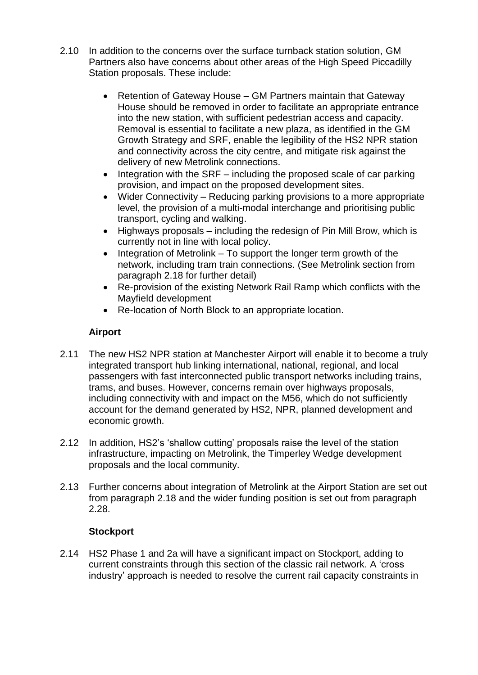- 2.10 In addition to the concerns over the surface turnback station solution, GM Partners also have concerns about other areas of the High Speed Piccadilly Station proposals. These include:
	- Retention of Gateway House GM Partners maintain that Gateway House should be removed in order to facilitate an appropriate entrance into the new station, with sufficient pedestrian access and capacity. Removal is essential to facilitate a new plaza, as identified in the GM Growth Strategy and SRF, enable the legibility of the HS2 NPR station and connectivity across the city centre, and mitigate risk against the delivery of new Metrolink connections.
	- $\bullet$  Integration with the SRF including the proposed scale of car parking provision, and impact on the proposed development sites.
	- Wider Connectivity Reducing parking provisions to a more appropriate level, the provision of a multi-modal interchange and prioritising public transport, cycling and walking.
	- Highways proposals including the redesign of Pin Mill Brow, which is currently not in line with local policy.
	- $\bullet$  Integration of Metrolink To support the longer term growth of the network, including tram train connections. (See Metrolink section from paragraph 2.18 for further detail)
	- Re-provision of the existing Network Rail Ramp which conflicts with the Mayfield development
	- Re-location of North Block to an appropriate location.

## **Airport**

- 2.11 The new HS2 NPR station at Manchester Airport will enable it to become a truly integrated transport hub linking international, national, regional, and local passengers with fast interconnected public transport networks including trains, trams, and buses. However, concerns remain over highways proposals, including connectivity with and impact on the M56, which do not sufficiently account for the demand generated by HS2, NPR, planned development and economic growth.
- 2.12 In addition, HS2's 'shallow cutting' proposals raise the level of the station infrastructure, impacting on Metrolink, the Timperley Wedge development proposals and the local community.
- 2.13 Further concerns about integration of Metrolink at the Airport Station are set out from paragraph 2.18 and the wider funding position is set out from paragraph 2.28.

## **Stockport**

2.14 HS2 Phase 1 and 2a will have a significant impact on Stockport, adding to current constraints through this section of the classic rail network. A 'cross industry' approach is needed to resolve the current rail capacity constraints in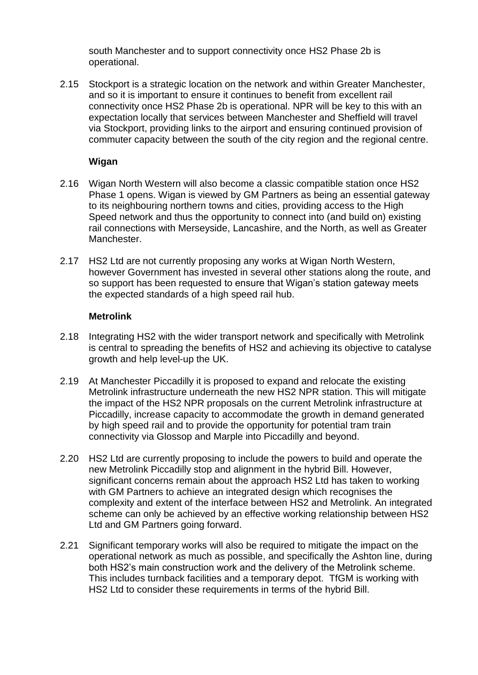south Manchester and to support connectivity once HS2 Phase 2b is operational.

2.15 Stockport is a strategic location on the network and within Greater Manchester, and so it is important to ensure it continues to benefit from excellent rail connectivity once HS2 Phase 2b is operational. NPR will be key to this with an expectation locally that services between Manchester and Sheffield will travel via Stockport, providing links to the airport and ensuring continued provision of commuter capacity between the south of the city region and the regional centre.

### **Wigan**

- 2.16 Wigan North Western will also become a classic compatible station once HS2 Phase 1 opens. Wigan is viewed by GM Partners as being an essential gateway to its neighbouring northern towns and cities, providing access to the High Speed network and thus the opportunity to connect into (and build on) existing rail connections with Merseyside, Lancashire, and the North, as well as Greater **Manchester**
- 2.17 HS2 Ltd are not currently proposing any works at Wigan North Western, however Government has invested in several other stations along the route, and so support has been requested to ensure that Wigan's station gateway meets the expected standards of a high speed rail hub.

### **Metrolink**

- 2.18 Integrating HS2 with the wider transport network and specifically with Metrolink is central to spreading the benefits of HS2 and achieving its objective to catalyse growth and help level-up the UK.
- 2.19 At Manchester Piccadilly it is proposed to expand and relocate the existing Metrolink infrastructure underneath the new HS2 NPR station. This will mitigate the impact of the HS2 NPR proposals on the current Metrolink infrastructure at Piccadilly, increase capacity to accommodate the growth in demand generated by high speed rail and to provide the opportunity for potential tram train connectivity via Glossop and Marple into Piccadilly and beyond.
- 2.20 HS2 Ltd are currently proposing to include the powers to build and operate the new Metrolink Piccadilly stop and alignment in the hybrid Bill. However, significant concerns remain about the approach HS2 Ltd has taken to working with GM Partners to achieve an integrated design which recognises the complexity and extent of the interface between HS2 and Metrolink. An integrated scheme can only be achieved by an effective working relationship between HS2 Ltd and GM Partners going forward.
- 2.21 Significant temporary works will also be required to mitigate the impact on the operational network as much as possible, and specifically the Ashton line, during both HS2's main construction work and the delivery of the Metrolink scheme. This includes turnback facilities and a temporary depot. TfGM is working with HS2 Ltd to consider these requirements in terms of the hybrid Bill.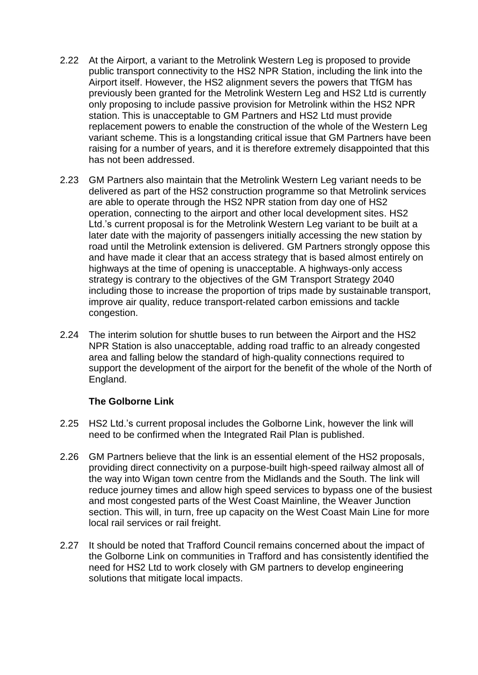- 2.22 At the Airport, a variant to the Metrolink Western Leg is proposed to provide public transport connectivity to the HS2 NPR Station, including the link into the Airport itself. However, the HS2 alignment severs the powers that TfGM has previously been granted for the Metrolink Western Leg and HS2 Ltd is currently only proposing to include passive provision for Metrolink within the HS2 NPR station. This is unacceptable to GM Partners and HS2 Ltd must provide replacement powers to enable the construction of the whole of the Western Leg variant scheme. This is a longstanding critical issue that GM Partners have been raising for a number of years, and it is therefore extremely disappointed that this has not been addressed.
- 2.23 GM Partners also maintain that the Metrolink Western Leg variant needs to be delivered as part of the HS2 construction programme so that Metrolink services are able to operate through the HS2 NPR station from day one of HS2 operation, connecting to the airport and other local development sites. HS2 Ltd.'s current proposal is for the Metrolink Western Leg variant to be built at a later date with the majority of passengers initially accessing the new station by road until the Metrolink extension is delivered. GM Partners strongly oppose this and have made it clear that an access strategy that is based almost entirely on highways at the time of opening is unacceptable. A highways-only access strategy is contrary to the objectives of the GM Transport Strategy 2040 including those to increase the proportion of trips made by sustainable transport, improve air quality, reduce transport-related carbon emissions and tackle congestion.
- 2.24 The interim solution for shuttle buses to run between the Airport and the HS2 NPR Station is also unacceptable, adding road traffic to an already congested area and falling below the standard of high-quality connections required to support the development of the airport for the benefit of the whole of the North of England.

### **The Golborne Link**

- 2.25 HS2 Ltd.'s current proposal includes the Golborne Link, however the link will need to be confirmed when the Integrated Rail Plan is published.
- 2.26 GM Partners believe that the link is an essential element of the HS2 proposals, providing direct connectivity on a purpose-built high-speed railway almost all of the way into Wigan town centre from the Midlands and the South. The link will reduce journey times and allow high speed services to bypass one of the busiest and most congested parts of the West Coast Mainline, the Weaver Junction section. This will, in turn, free up capacity on the West Coast Main Line for more local rail services or rail freight.
- 2.27 It should be noted that Trafford Council remains concerned about the impact of the Golborne Link on communities in Trafford and has consistently identified the need for HS2 Ltd to work closely with GM partners to develop engineering solutions that mitigate local impacts.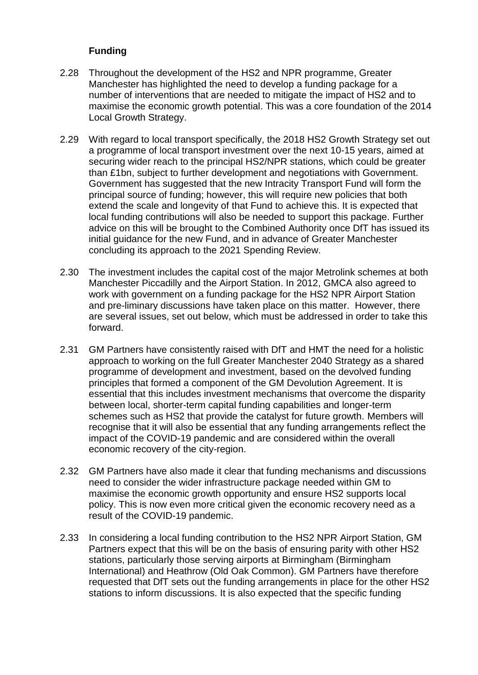## **Funding**

- 2.28 Throughout the development of the HS2 and NPR programme, Greater Manchester has highlighted the need to develop a funding package for a number of interventions that are needed to mitigate the impact of HS2 and to maximise the economic growth potential. This was a core foundation of the 2014 Local Growth Strategy.
- 2.29 With regard to local transport specifically, the 2018 HS2 Growth Strategy set out a programme of local transport investment over the next 10-15 years, aimed at securing wider reach to the principal HS2/NPR stations, which could be greater than £1bn, subject to further development and negotiations with Government. Government has suggested that the new Intracity Transport Fund will form the principal source of funding; however, this will require new policies that both extend the scale and longevity of that Fund to achieve this. It is expected that local funding contributions will also be needed to support this package. Further advice on this will be brought to the Combined Authority once DfT has issued its initial guidance for the new Fund, and in advance of Greater Manchester concluding its approach to the 2021 Spending Review.
- 2.30 The investment includes the capital cost of the major Metrolink schemes at both Manchester Piccadilly and the Airport Station. In 2012, GMCA also agreed to work with government on a funding package for the HS2 NPR Airport Station and pre-liminary discussions have taken place on this matter. However, there are several issues, set out below, which must be addressed in order to take this forward.
- 2.31 GM Partners have consistently raised with DfT and HMT the need for a holistic approach to working on the full Greater Manchester 2040 Strategy as a shared programme of development and investment, based on the devolved funding principles that formed a component of the GM Devolution Agreement. It is essential that this includes investment mechanisms that overcome the disparity between local, shorter-term capital funding capabilities and longer-term schemes such as HS2 that provide the catalyst for future growth. Members will recognise that it will also be essential that any funding arrangements reflect the impact of the COVID-19 pandemic and are considered within the overall economic recovery of the city-region.
- 2.32 GM Partners have also made it clear that funding mechanisms and discussions need to consider the wider infrastructure package needed within GM to maximise the economic growth opportunity and ensure HS2 supports local policy. This is now even more critical given the economic recovery need as a result of the COVID-19 pandemic.
- 2.33 In considering a local funding contribution to the HS2 NPR Airport Station, GM Partners expect that this will be on the basis of ensuring parity with other HS2 stations, particularly those serving airports at Birmingham (Birmingham International) and Heathrow (Old Oak Common). GM Partners have therefore requested that DfT sets out the funding arrangements in place for the other HS2 stations to inform discussions. It is also expected that the specific funding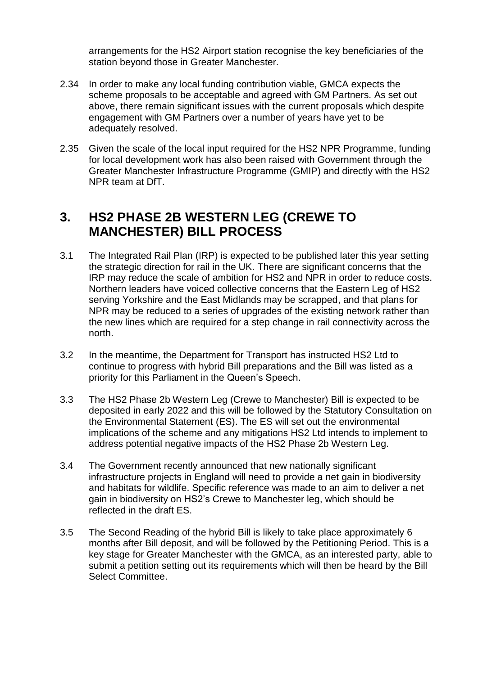arrangements for the HS2 Airport station recognise the key beneficiaries of the station beyond those in Greater Manchester.

- 2.34 In order to make any local funding contribution viable, GMCA expects the scheme proposals to be acceptable and agreed with GM Partners. As set out above, there remain significant issues with the current proposals which despite engagement with GM Partners over a number of years have yet to be adequately resolved.
- 2.35 Given the scale of the local input required for the HS2 NPR Programme, funding for local development work has also been raised with Government through the Greater Manchester Infrastructure Programme (GMIP) and directly with the HS2 NPR team at DfT.

# **3. HS2 PHASE 2B WESTERN LEG (CREWE TO MANCHESTER) BILL PROCESS**

- 3.1 The Integrated Rail Plan (IRP) is expected to be published later this year setting the strategic direction for rail in the UK. There are significant concerns that the IRP may reduce the scale of ambition for HS2 and NPR in order to reduce costs. Northern leaders have voiced collective concerns that the Eastern Leg of HS2 serving Yorkshire and the East Midlands may be scrapped, and that plans for NPR may be reduced to a series of upgrades of the existing network rather than the new lines which are required for a step change in rail connectivity across the north.
- 3.2 In the meantime, the Department for Transport has instructed HS2 Ltd to continue to progress with hybrid Bill preparations and the Bill was listed as a priority for this Parliament in the Queen's Speech.
- 3.3 The HS2 Phase 2b Western Leg (Crewe to Manchester) Bill is expected to be deposited in early 2022 and this will be followed by the Statutory Consultation on the Environmental Statement (ES). The ES will set out the environmental implications of the scheme and any mitigations HS2 Ltd intends to implement to address potential negative impacts of the HS2 Phase 2b Western Leg.
- 3.4 The Government recently announced that new nationally significant infrastructure projects in England will need to provide a net gain in biodiversity and habitats for wildlife. Specific reference was made to an aim to deliver a net gain in biodiversity on HS2's Crewe to Manchester leg, which should be reflected in the draft ES.
- 3.5 The Second Reading of the hybrid Bill is likely to take place approximately 6 months after Bill deposit, and will be followed by the Petitioning Period. This is a key stage for Greater Manchester with the GMCA, as an interested party, able to submit a petition setting out its requirements which will then be heard by the Bill Select Committee.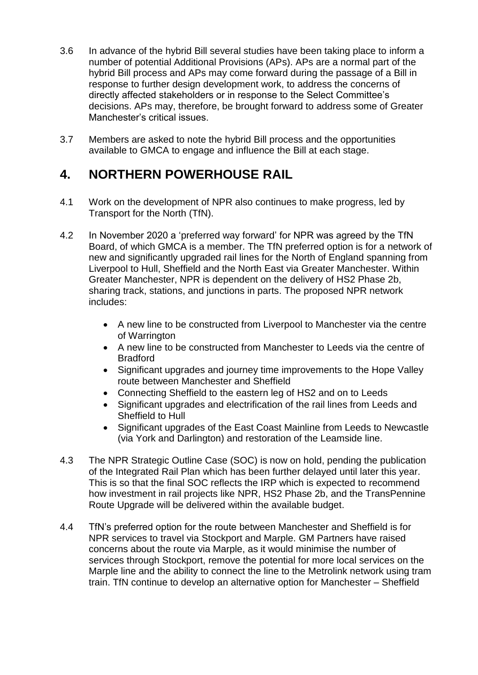- 3.6 In advance of the hybrid Bill several studies have been taking place to inform a number of potential Additional Provisions (APs). APs are a normal part of the hybrid Bill process and APs may come forward during the passage of a Bill in response to further design development work, to address the concerns of directly affected stakeholders or in response to the Select Committee's decisions. APs may, therefore, be brought forward to address some of Greater Manchester's critical issues.
- 3.7 Members are asked to note the hybrid Bill process and the opportunities available to GMCA to engage and influence the Bill at each stage.

# **4. NORTHERN POWERHOUSE RAIL**

- 4.1 Work on the development of NPR also continues to make progress, led by Transport for the North (TfN).
- 4.2 In November 2020 a 'preferred way forward' for NPR was agreed by the TfN Board, of which GMCA is a member. The TfN preferred option is for a network of new and significantly upgraded rail lines for the North of England spanning from Liverpool to Hull, Sheffield and the North East via Greater Manchester. Within Greater Manchester, NPR is dependent on the delivery of HS2 Phase 2b, sharing track, stations, and junctions in parts. The proposed NPR network includes:
	- A new line to be constructed from Liverpool to Manchester via the centre of Warrington
	- A new line to be constructed from Manchester to Leeds via the centre of Bradford
	- Significant upgrades and journey time improvements to the Hope Valley route between Manchester and Sheffield
	- Connecting Sheffield to the eastern leg of HS2 and on to Leeds
	- Significant upgrades and electrification of the rail lines from Leeds and Sheffield to Hull
	- Significant upgrades of the East Coast Mainline from Leeds to Newcastle (via York and Darlington) and restoration of the Leamside line.
- 4.3 The NPR Strategic Outline Case (SOC) is now on hold, pending the publication of the Integrated Rail Plan which has been further delayed until later this year. This is so that the final SOC reflects the IRP which is expected to recommend how investment in rail projects like NPR, HS2 Phase 2b, and the TransPennine Route Upgrade will be delivered within the available budget.
- 4.4 TfN's preferred option for the route between Manchester and Sheffield is for NPR services to travel via Stockport and Marple. GM Partners have raised concerns about the route via Marple, as it would minimise the number of services through Stockport, remove the potential for more local services on the Marple line and the ability to connect the line to the Metrolink network using tram train. TfN continue to develop an alternative option for Manchester – Sheffield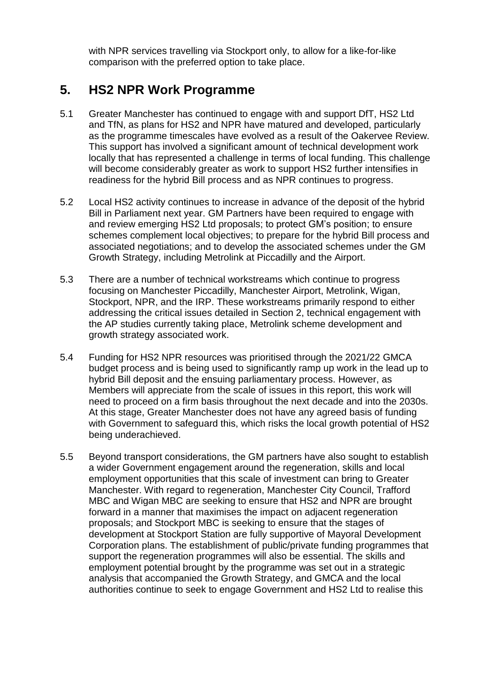with NPR services travelling via Stockport only, to allow for a like-for-like comparison with the preferred option to take place.

# **5. HS2 NPR Work Programme**

- 5.1 Greater Manchester has continued to engage with and support DfT, HS2 Ltd and TfN, as plans for HS2 and NPR have matured and developed, particularly as the programme timescales have evolved as a result of the Oakervee Review. This support has involved a significant amount of technical development work locally that has represented a challenge in terms of local funding. This challenge will become considerably greater as work to support HS2 further intensifies in readiness for the hybrid Bill process and as NPR continues to progress.
- 5.2 Local HS2 activity continues to increase in advance of the deposit of the hybrid Bill in Parliament next year. GM Partners have been required to engage with and review emerging HS2 Ltd proposals; to protect GM's position; to ensure schemes complement local objectives; to prepare for the hybrid Bill process and associated negotiations; and to develop the associated schemes under the GM Growth Strategy, including Metrolink at Piccadilly and the Airport.
- 5.3 There are a number of technical workstreams which continue to progress focusing on Manchester Piccadilly, Manchester Airport, Metrolink, Wigan, Stockport, NPR, and the IRP. These workstreams primarily respond to either addressing the critical issues detailed in Section 2, technical engagement with the AP studies currently taking place, Metrolink scheme development and growth strategy associated work.
- 5.4 Funding for HS2 NPR resources was prioritised through the 2021/22 GMCA budget process and is being used to significantly ramp up work in the lead up to hybrid Bill deposit and the ensuing parliamentary process. However, as Members will appreciate from the scale of issues in this report, this work will need to proceed on a firm basis throughout the next decade and into the 2030s. At this stage, Greater Manchester does not have any agreed basis of funding with Government to safeguard this, which risks the local growth potential of HS2 being underachieved.
- 5.5 Beyond transport considerations, the GM partners have also sought to establish a wider Government engagement around the regeneration, skills and local employment opportunities that this scale of investment can bring to Greater Manchester. With regard to regeneration, Manchester City Council, Trafford MBC and Wigan MBC are seeking to ensure that HS2 and NPR are brought forward in a manner that maximises the impact on adjacent regeneration proposals; and Stockport MBC is seeking to ensure that the stages of development at Stockport Station are fully supportive of Mayoral Development Corporation plans. The establishment of public/private funding programmes that support the regeneration programmes will also be essential. The skills and employment potential brought by the programme was set out in a strategic analysis that accompanied the Growth Strategy, and GMCA and the local authorities continue to seek to engage Government and HS2 Ltd to realise this